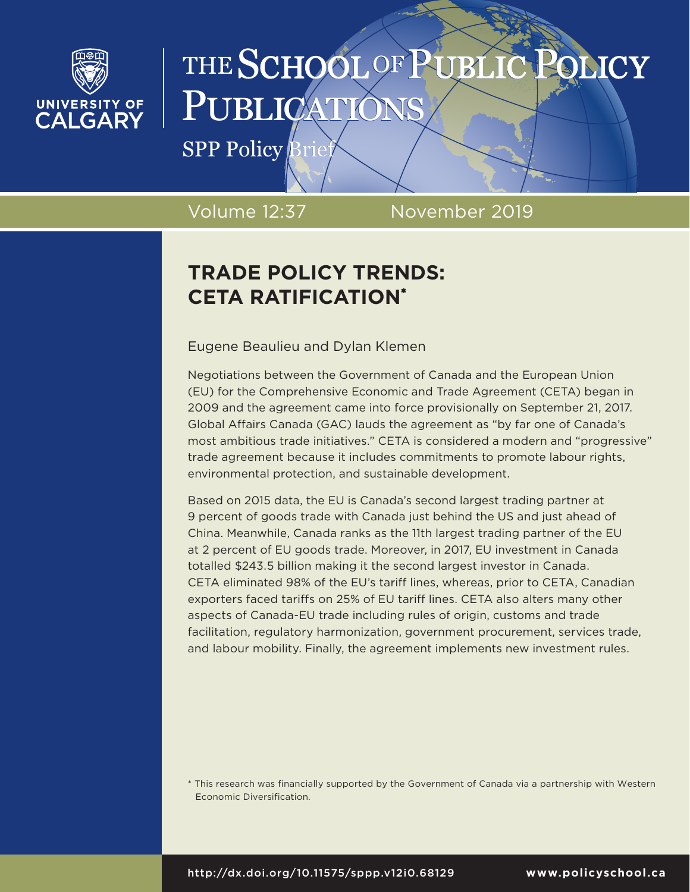

# THE SCHOOL OF PUBLI **JEICY** PUBLICATI

**SPP Policy Brief** 

Volume 12:37 November 2019

## **TRADE POLICY TRENDS: CETA RATIFICATION\***

Eugene Beaulieu and Dylan Klemen

Negotiations between the Government of Canada and the European Union (EU) for the Comprehensive Economic and Trade Agreement (CETA) began in 2009 and the agreement came into force provisionally on September 21, 2017. Global Affairs Canada (GAC) lauds the agreement as "by far one of Canada's most ambitious trade initiatives." CETA is considered a modern and "progressive" trade agreement because it includes commitments to promote labour rights, environmental protection, and sustainable development.

Based on 2015 data, the EU is Canada's second largest trading partner at 9 percent of goods trade with Canada just behind the US and just ahead of China. Meanwhile, Canada ranks as the 11th largest trading partner of the EU at 2 percent of EU goods trade. Moreover, in 2017, EU investment in Canada totalled \$243.5 billion making it the second largest investor in Canada. CETA eliminated 98% of the EU's tariff lines, whereas, prior to CETA, Canadian exporters faced tariffs on 25% of EU tariff lines. CETA also alters many other aspects of Canada-EU trade including rules of origin, customs and trade facilitation, regulatory harmonization, government procurement, services trade, and labour mobility. Finally, the agreement implements new investment rules.

\* This research was financially supported by the Government of Canada via a partnership with Western Economic Diversification.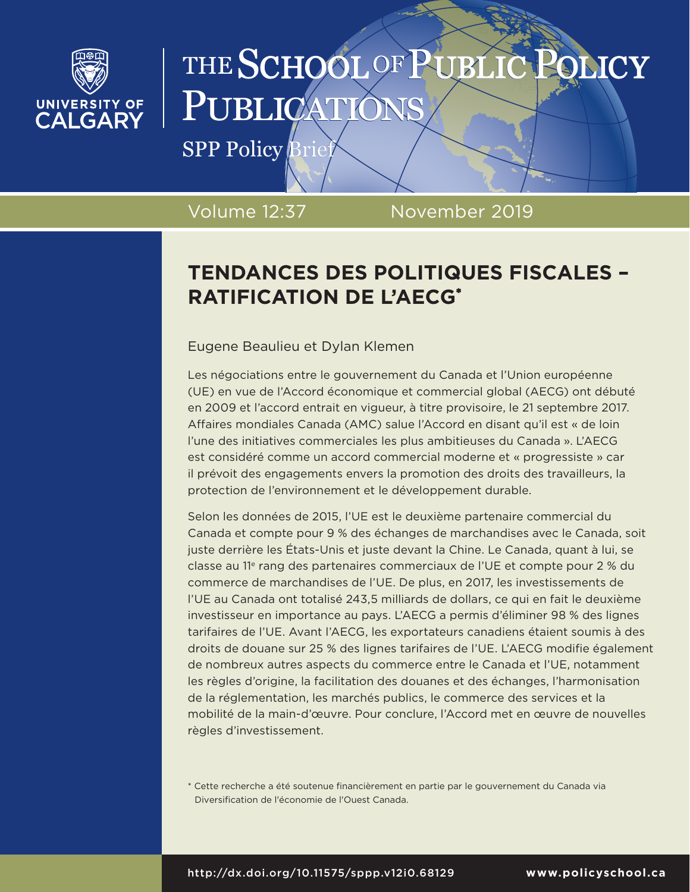

# THE SCHOOL OF PUBLIC **SLICY** PUBLICATI

**SPP Policy Brief** 

Volume 12:37 November 2019

## **TENDANCES DES POLITIQUES FISCALES – RATIFICATION DE L'AECG\***

### Eugene Beaulieu et Dylan Klemen

Les négociations entre le gouvernement du Canada et l'Union européenne (UE) en vue de l'Accord économique et commercial global (AECG) ont débuté en 2009 et l'accord entrait en vigueur, à titre provisoire, le 21 septembre 2017. Affaires mondiales Canada (AMC) salue l'Accord en disant qu'il est « de loin l'une des initiatives commerciales les plus ambitieuses du Canada ». L'AECG est considéré comme un accord commercial moderne et « progressiste » car il prévoit des engagements envers la promotion des droits des travailleurs, la protection de l'environnement et le développement durable.

Selon les données de 2015, l'UE est le deuxième partenaire commercial du Canada et compte pour 9 % des échanges de marchandises avec le Canada, soit juste derrière les États-Unis et juste devant la Chine. Le Canada, quant à lui, se classe au 11<sup>e</sup> rang des partenaires commerciaux de l'UE et compte pour 2 % du commerce de marchandises de l'UE. De plus, en 2017, les investissements de l'UE au Canada ont totalisé 243,5 milliards de dollars, ce qui en fait le deuxième investisseur en importance au pays. L'AECG a permis d'éliminer 98 % des lignes tarifaires de l'UE. Avant l'AECG, les exportateurs canadiens étaient soumis à des droits de douane sur 25 % des lignes tarifaires de l'UE. L'AECG modifie également de nombreux autres aspects du commerce entre le Canada et l'UE, notamment les règles d'origine, la facilitation des douanes et des échanges, l'harmonisation de la réglementation, les marchés publics, le commerce des services et la mobilité de la main-d'œuvre. Pour conclure, l'Accord met en œuvre de nouvelles règles d'investissement.

\* Cette recherche a été soutenue financièrement en partie par le gouvernement du Canada via Diversification de l'économie de l'Ouest Canada.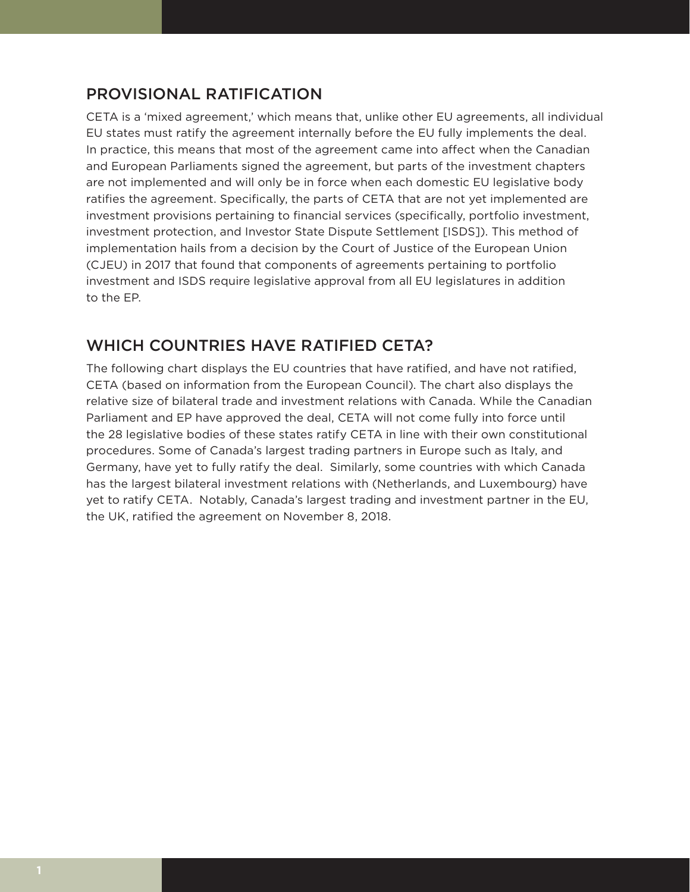## PROVISIONAL RATIFICATION

CETA is a 'mixed agreement,' which means that, unlike other EU agreements, all individual EU states must ratify the agreement internally before the EU fully implements the deal. In practice, this means that most of the agreement came into affect when the Canadian and European Parliaments signed the agreement, but parts of the investment chapters are not implemented and will only be in force when each domestic EU legislative body ratifies the agreement. Specifically, the parts of CETA that are not yet implemented are investment provisions pertaining to financial services (specifically, portfolio investment, investment protection, and Investor State Dispute Settlement [ISDS]). This method of implementation hails from a decision by the Court of Justice of the European Union (CJEU) in 2017 that found that components of agreements pertaining to portfolio investment and ISDS require legislative approval from all EU legislatures in addition to the EP.

## WHICH COUNTRIES HAVE RATIFIED CETA?

The following chart displays the EU countries that have ratified, and have not ratified, CETA (based on information from the European Council). The chart also displays the relative size of bilateral trade and investment relations with Canada. While the Canadian Parliament and EP have approved the deal, CETA will not come fully into force until the 28 legislative bodies of these states ratify CETA in line with their own constitutional procedures. Some of Canada's largest trading partners in Europe such as Italy, and Germany, have yet to fully ratify the deal. Similarly, some countries with which Canada has the largest bilateral investment relations with (Netherlands, and Luxembourg) have yet to ratify CETA. Notably, Canada's largest trading and investment partner in the EU, the UK, ratified the agreement on November 8, 2018.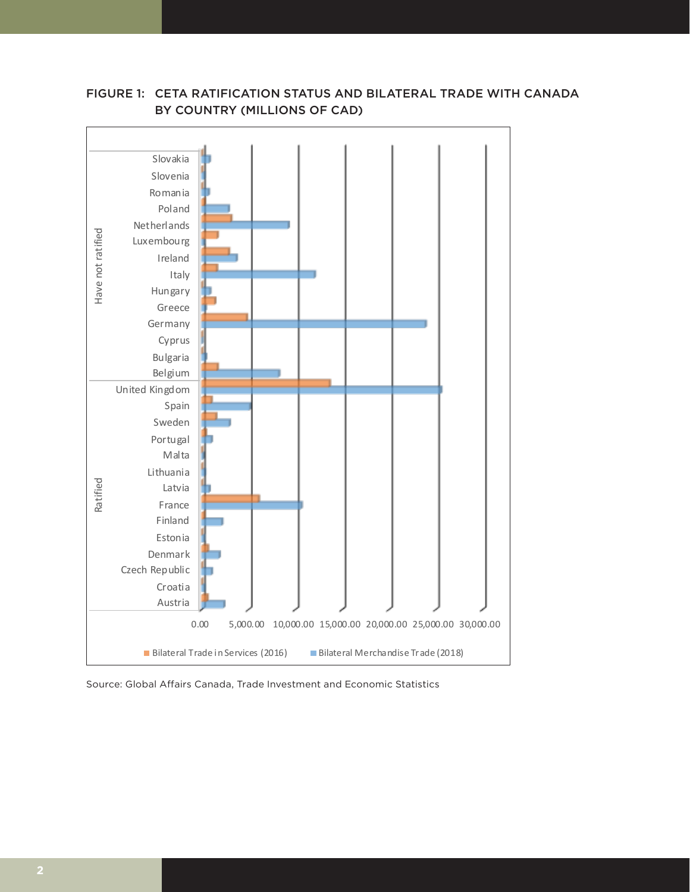

## FIGURE 1: CETA RATIFICATION STATUS AND BILATERAL TRADE WITH CANADA **BILATERAL TRADE WITH CANADA BY COUNTRY**  BY COUNTRY (MILLIONS OF CAD) **(MILLIONS OF CAD)**

Source: Global Affairs Canada, Trade Investment and Economic Statistics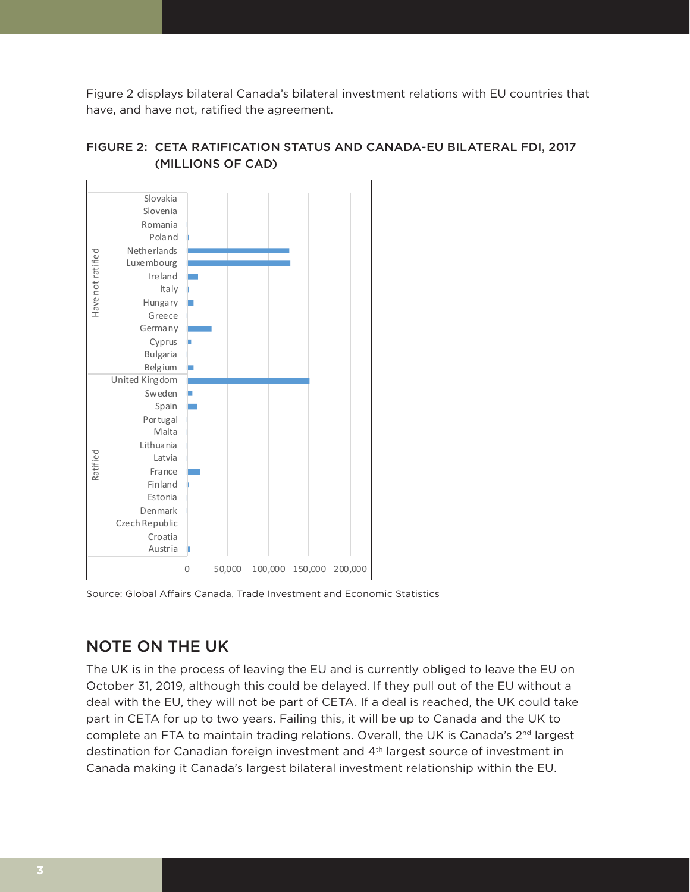Figure 2 displays bilateral Canada's bilateral investment relations with EU countries that have, and have not, ratified the agreement.



## FIGURE 2: CETA RATIFICATION STATUS AND CANADA-EU BILATERAL FDI, 2017 **CANADA-EU BILATERAL FDI, 2017**  (MILLIONS OF CAD) **(MILLIONS OF CAD)**

Source: Global Affairs Canada, Trade Investment and Economic Statistics

## NOTE ON THE UK

The UK is in the process of leaving the EU and is currently obliged to leave the EU on October 31, 2019, although this could be delayed. If they pull out of the EU without a deal with the EU, they will not be part of CETA. If a deal is reached, the UK could take part in CETA for up to two years. Failing this, it will be up to Canada and the UK to complete an FTA to maintain trading relations. Overall, the UK is Canada's  $2^{nd}$  largest destination for Canadian foreign investment and 4th largest source of investment in Canada making it Canada's largest bilateral investment relationship within the EU.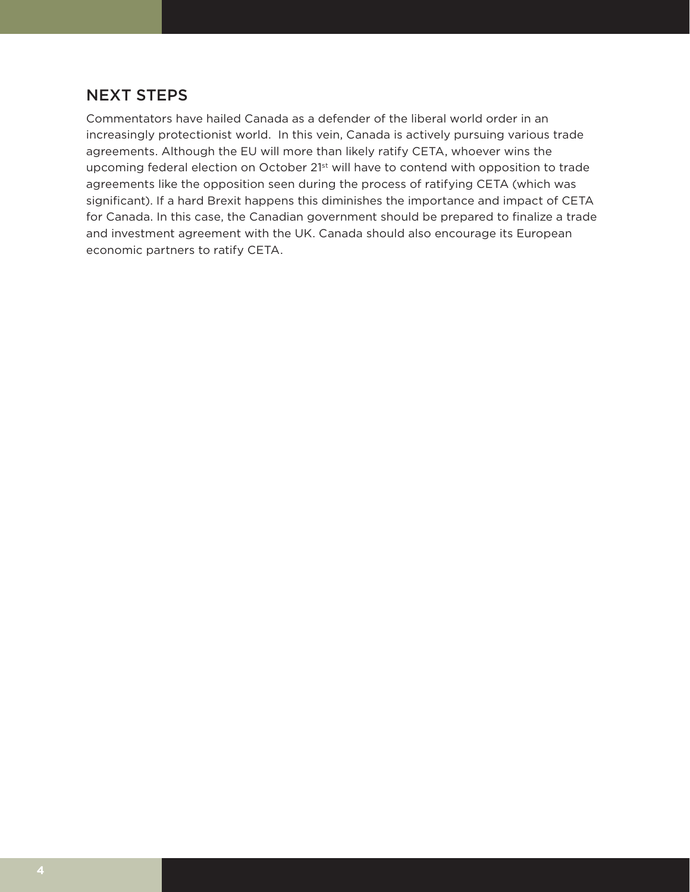### NEXT STEPS

Commentators have hailed Canada as a defender of the liberal world order in an increasingly protectionist world. In this vein, Canada is actively pursuing various trade agreements. Although the EU will more than likely ratify CETA, whoever wins the upcoming federal election on October 21st will have to contend with opposition to trade agreements like the opposition seen during the process of ratifying CETA (which was significant). If a hard Brexit happens this diminishes the importance and impact of CETA for Canada. In this case, the Canadian government should be prepared to finalize a trade and investment agreement with the UK. Canada should also encourage its European economic partners to ratify CETA.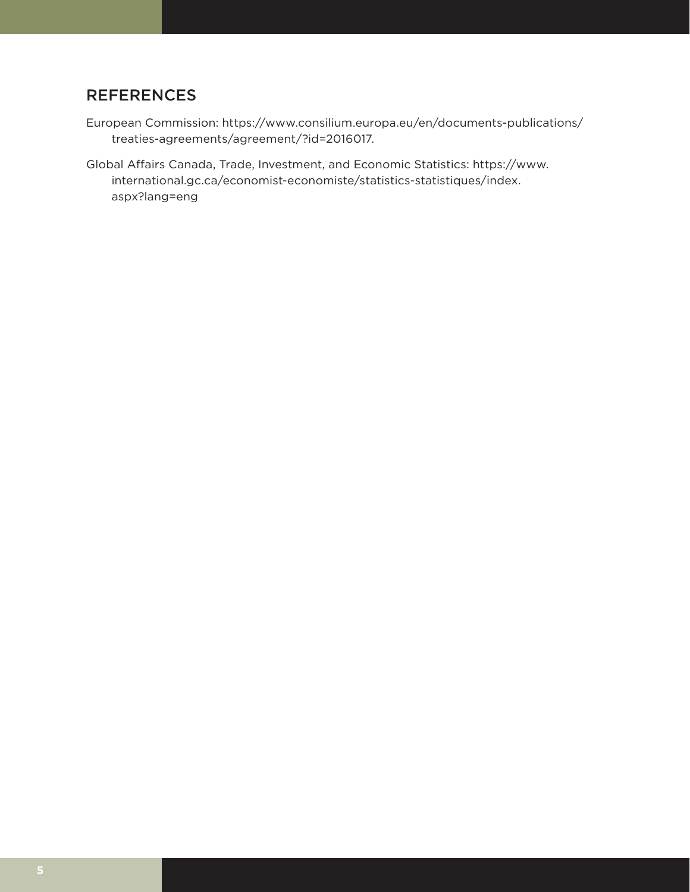## **REFERENCES**

- European Commission: https://www.consilium.europa.eu/en/documents-publications/ treaties-agreements/agreement/?id=2016017.
- Global Affairs Canada, Trade, Investment, and Economic Statistics: https://www. international.gc.ca/economist-economiste/statistics-statistiques/index. aspx?lang=eng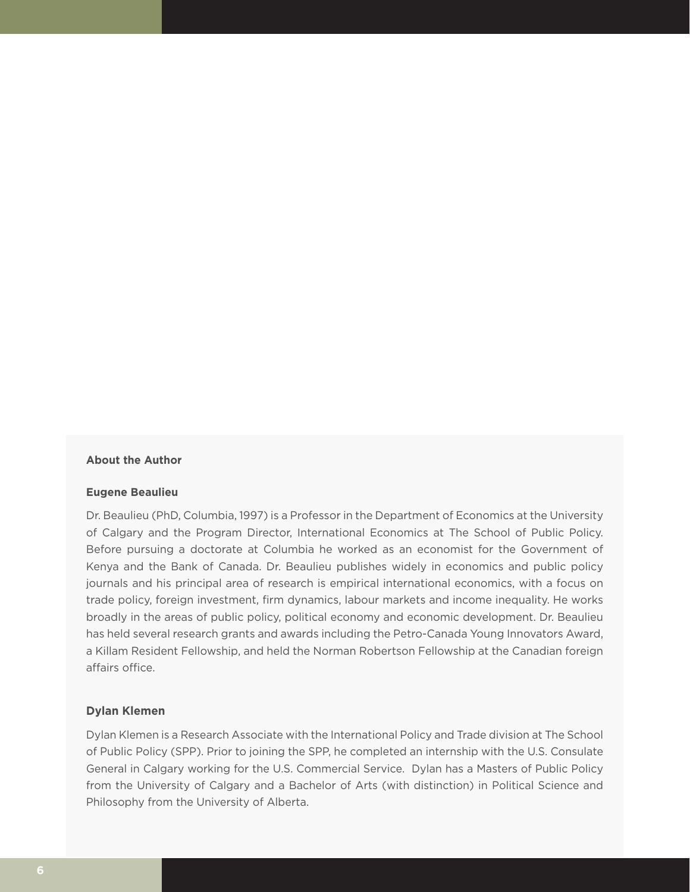#### **About the Author**

#### **Eugene Beaulieu**

Dr. Beaulieu (PhD, Columbia, 1997) is a Professor in the Department of Economics at the University of Calgary and the Program Director, International Economics at The School of Public Policy. Before pursuing a doctorate at Columbia he worked as an economist for the Government of Kenya and the Bank of Canada. Dr. Beaulieu publishes widely in economics and public policy journals and his principal area of research is empirical international economics, with a focus on trade policy, foreign investment, firm dynamics, labour markets and income inequality. He works broadly in the areas of public policy, political economy and economic development. Dr. Beaulieu has held several research grants and awards including the Petro-Canada Young Innovators Award, a Killam Resident Fellowship, and held the Norman Robertson Fellowship at the Canadian foreign affairs office.

#### **Dylan Klemen**

Dylan Klemen is a Research Associate with the International Policy and Trade division at The School of Public Policy (SPP). Prior to joining the SPP, he completed an internship with the U.S. Consulate General in Calgary working for the U.S. Commercial Service. Dylan has a Masters of Public Policy from the University of Calgary and a Bachelor of Arts (with distinction) in Political Science and Philosophy from the University of Alberta.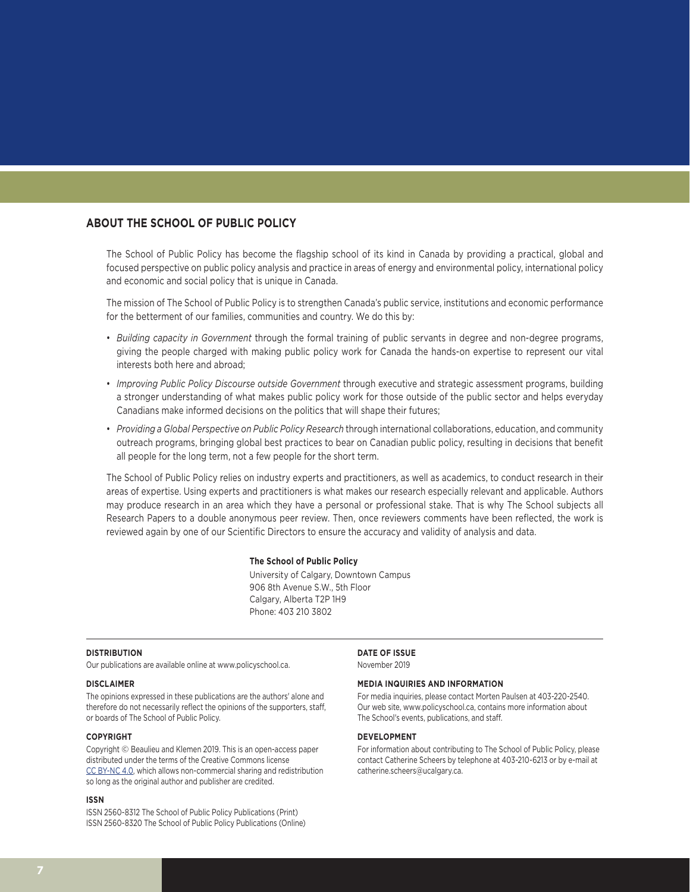#### **ABOUT THE SCHOOL OF PUBLIC POLICY**

The School of Public Policy has become the flagship school of its kind in Canada by providing a practical, global and focused perspective on public policy analysis and practice in areas of energy and environmental policy, international policy and economic and social policy that is unique in Canada.

The mission of The School of Public Policy is to strengthen Canada's public service, institutions and economic performance for the betterment of our families, communities and country. We do this by:

- *Building capacity in Government* through the formal training of public servants in degree and non-degree programs, giving the people charged with making public policy work for Canada the hands-on expertise to represent our vital interests both here and abroad;
- *Improving Public Policy Discourse outside Government* through executive and strategic assessment programs, building a stronger understanding of what makes public policy work for those outside of the public sector and helps everyday Canadians make informed decisions on the politics that will shape their futures;
- *Providing a Global Perspective on Public Policy Research* through international collaborations, education, and community outreach programs, bringing global best practices to bear on Canadian public policy, resulting in decisions that benefit all people for the long term, not a few people for the short term.

The School of Public Policy relies on industry experts and practitioners, as well as academics, to conduct research in their areas of expertise. Using experts and practitioners is what makes our research especially relevant and applicable. Authors may produce research in an area which they have a personal or professional stake. That is why The School subjects all Research Papers to a double anonymous peer review. Then, once reviewers comments have been reflected, the work is reviewed again by one of our Scientific Directors to ensure the accuracy and validity of analysis and data.

#### **The School of Public Policy**

University of Calgary, Downtown Campus 906 8th Avenue S.W., 5th Floor Calgary, Alberta T2P 1H9 Phone: 403 210 3802

#### **DISTRIBUTION**

Our publications are available online at www.policyschool.ca.

#### **DISCLAIMER**

The opinions expressed in these publications are the authors' alone and therefore do not necessarily reflect the opinions of the supporters, staff, or boards of The School of Public Policy.

#### **COPYRIGHT**

Copyright © Beaulieu and Klemen 2019. This is an open-access paper distributed under the terms of the Creative Commons license [CC BY-NC 4.0](https://creativecommons.org/licenses/by-nc/4.0/), which allows non-commercial sharing and redistribution so long as the original author and publisher are credited.

#### **ISSN**

ISSN 2560-8312 The School of Public Policy Publications (Print) ISSN 2560-8320 The School of Public Policy Publications (Online) **DATE OF ISSUE** November 2019

#### **MEDIA INQUIRIES AND INFORMATION**

For media inquiries, please contact Morten Paulsen at 403-220-2540. Our web site, www.policyschool.ca, contains more information about The School's events, publications, and staff.

#### **DEVELOPMENT**

For information about contributing to The School of Public Policy, please contact Catherine Scheers by telephone at 403-210-6213 or by e-mail at catherine.scheers@ucalgary.ca.